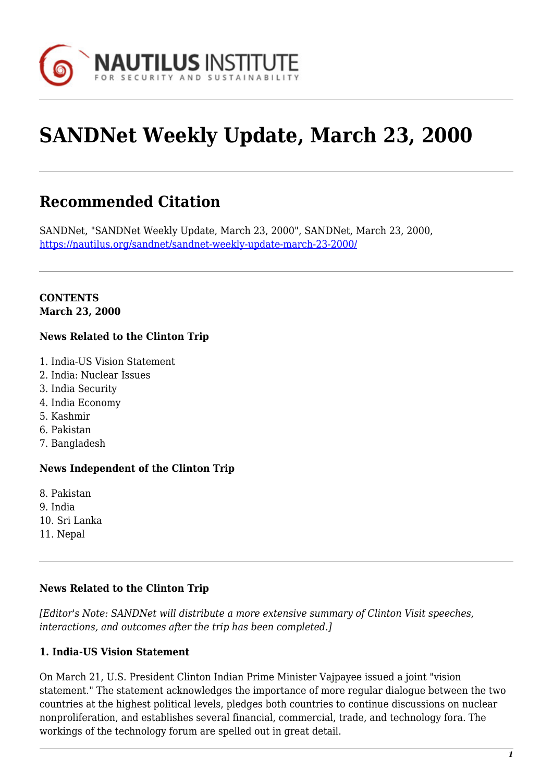

# **SANDNet Weekly Update, March 23, 2000**

# **Recommended Citation**

SANDNet, "SANDNet Weekly Update, March 23, 2000", SANDNet, March 23, 2000, <https://nautilus.org/sandnet/sandnet-weekly-update-march-23-2000/>

#### **CONTENTS March 23, 2000**

#### **News Related to the Clinton Trip**

- 1. India-US Vision Statement
- 2. India: Nuclear Issues
- 3. India Security
- 4. India Economy
- 5. Kashmir
- 6. Pakistan
- 7. Bangladesh

# **News Independent of the Clinton Trip**

8. Pakistan 9. India 10. Sri Lanka 11. Nepal

#### **News Related to the Clinton Trip**

*[Editor's Note: SANDNet will distribute a more extensive summary of Clinton Visit speeches, interactions, and outcomes after the trip has been completed.]*

# **1. India-US Vision Statement**

On March 21, U.S. President Clinton Indian Prime Minister Vajpayee issued a joint "vision statement." The statement acknowledges the importance of more regular dialogue between the two countries at the highest political levels, pledges both countries to continue discussions on nuclear nonproliferation, and establishes several financial, commercial, trade, and technology fora. The workings of the technology forum are spelled out in great detail.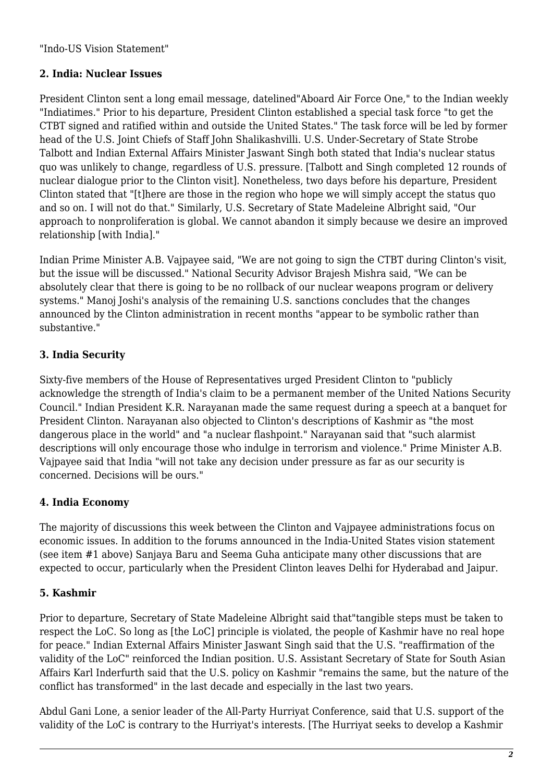"Indo-US Vision Statement"

### **2. India: Nuclear Issues**

President Clinton sent a long email message, datelined"Aboard Air Force One," to the Indian weekly "Indiatimes." Prior to his departure, President Clinton established a special task force "to get the CTBT signed and ratified within and outside the United States." The task force will be led by former head of the U.S. Joint Chiefs of Staff John Shalikashvilli. U.S. Under-Secretary of State Strobe Talbott and Indian External Affairs Minister Jaswant Singh both stated that India's nuclear status quo was unlikely to change, regardless of U.S. pressure. [Talbott and Singh completed 12 rounds of nuclear dialogue prior to the Clinton visit]. Nonetheless, two days before his departure, President Clinton stated that "[t]here are those in the region who hope we will simply accept the status quo and so on. I will not do that." Similarly, U.S. Secretary of State Madeleine Albright said, "Our approach to nonproliferation is global. We cannot abandon it simply because we desire an improved relationship [with India]."

Indian Prime Minister A.B. Vajpayee said, "We are not going to sign the CTBT during Clinton's visit, but the issue will be discussed." National Security Advisor Brajesh Mishra said, "We can be absolutely clear that there is going to be no rollback of our nuclear weapons program or delivery systems." Manoj Joshi's analysis of the remaining U.S. sanctions concludes that the changes announced by the Clinton administration in recent months "appear to be symbolic rather than substantive."

#### **3. India Security**

Sixty-five members of the House of Representatives urged President Clinton to "publicly acknowledge the strength of India's claim to be a permanent member of the United Nations Security Council." Indian President K.R. Narayanan made the same request during a speech at a banquet for President Clinton. Narayanan also objected to Clinton's descriptions of Kashmir as "the most dangerous place in the world" and "a nuclear flashpoint." Narayanan said that "such alarmist descriptions will only encourage those who indulge in terrorism and violence." Prime Minister A.B. Vajpayee said that India "will not take any decision under pressure as far as our security is concerned. Decisions will be ours."

#### **4. India Economy**

The majority of discussions this week between the Clinton and Vajpayee administrations focus on economic issues. In addition to the forums announced in the India-United States vision statement (see item #1 above) Sanjaya Baru and Seema Guha anticipate many other discussions that are expected to occur, particularly when the President Clinton leaves Delhi for Hyderabad and Jaipur.

#### **5. Kashmir**

Prior to departure, Secretary of State Madeleine Albright said that"tangible steps must be taken to respect the LoC. So long as [the LoC] principle is violated, the people of Kashmir have no real hope for peace." Indian External Affairs Minister Jaswant Singh said that the U.S. "reaffirmation of the validity of the LoC" reinforced the Indian position. U.S. Assistant Secretary of State for South Asian Affairs Karl Inderfurth said that the U.S. policy on Kashmir "remains the same, but the nature of the conflict has transformed" in the last decade and especially in the last two years.

Abdul Gani Lone, a senior leader of the All-Party Hurriyat Conference, said that U.S. support of the validity of the LoC is contrary to the Hurriyat's interests. [The Hurriyat seeks to develop a Kashmir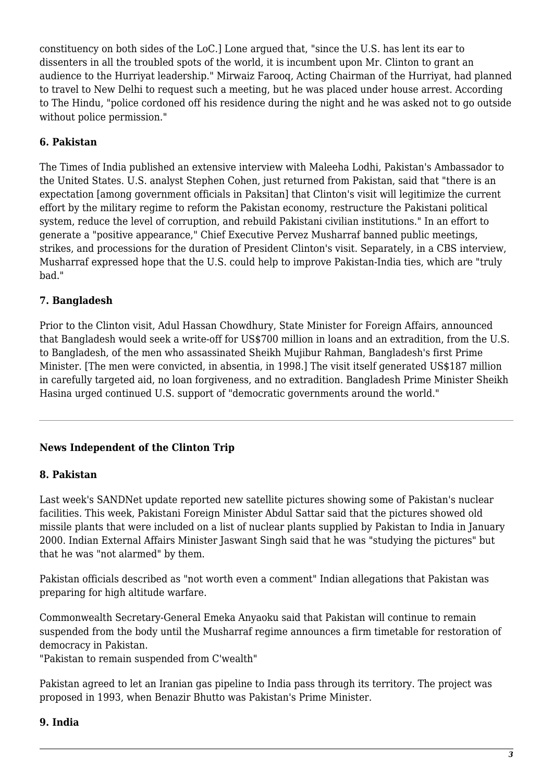constituency on both sides of the LoC.] Lone argued that, "since the U.S. has lent its ear to dissenters in all the troubled spots of the world, it is incumbent upon Mr. Clinton to grant an audience to the Hurriyat leadership." Mirwaiz Farooq, Acting Chairman of the Hurriyat, had planned to travel to New Delhi to request such a meeting, but he was placed under house arrest. According to The Hindu, "police cordoned off his residence during the night and he was asked not to go outside without police permission."

# **6. Pakistan**

The Times of India published an extensive interview with Maleeha Lodhi, Pakistan's Ambassador to the United States. U.S. analyst Stephen Cohen, just returned from Pakistan, said that "there is an expectation [among government officials in Paksitan] that Clinton's visit will legitimize the current effort by the military regime to reform the Pakistan economy, restructure the Pakistani political system, reduce the level of corruption, and rebuild Pakistani civilian institutions." In an effort to generate a "positive appearance," Chief Executive Pervez Musharraf banned public meetings, strikes, and processions for the duration of President Clinton's visit. Separately, in a CBS interview, Musharraf expressed hope that the U.S. could help to improve Pakistan-India ties, which are "truly bad."

# **7. Bangladesh**

Prior to the Clinton visit, Adul Hassan Chowdhury, State Minister for Foreign Affairs, announced that Bangladesh would seek a write-off for US\$700 million in loans and an extradition, from the U.S. to Bangladesh, of the men who assassinated Sheikh Mujibur Rahman, Bangladesh's first Prime Minister. [The men were convicted, in absentia, in 1998.] The visit itself generated US\$187 million in carefully targeted aid, no loan forgiveness, and no extradition. Bangladesh Prime Minister Sheikh Hasina urged continued U.S. support of "democratic governments around the world."

# **News Independent of the Clinton Trip**

# **8. Pakistan**

Last week's SANDNet update reported new satellite pictures showing some of Pakistan's nuclear facilities. This week, Pakistani Foreign Minister Abdul Sattar said that the pictures showed old missile plants that were included on a list of nuclear plants supplied by Pakistan to India in January 2000. Indian External Affairs Minister Jaswant Singh said that he was "studying the pictures" but that he was "not alarmed" by them.

Pakistan officials described as "not worth even a comment" Indian allegations that Pakistan was preparing for high altitude warfare.

Commonwealth Secretary-General Emeka Anyaoku said that Pakistan will continue to remain suspended from the body until the Musharraf regime announces a firm timetable for restoration of democracy in Pakistan.

"Pakistan to remain suspended from C'wealth"

Pakistan agreed to let an Iranian gas pipeline to India pass through its territory. The project was proposed in 1993, when Benazir Bhutto was Pakistan's Prime Minister.

#### **9. India**